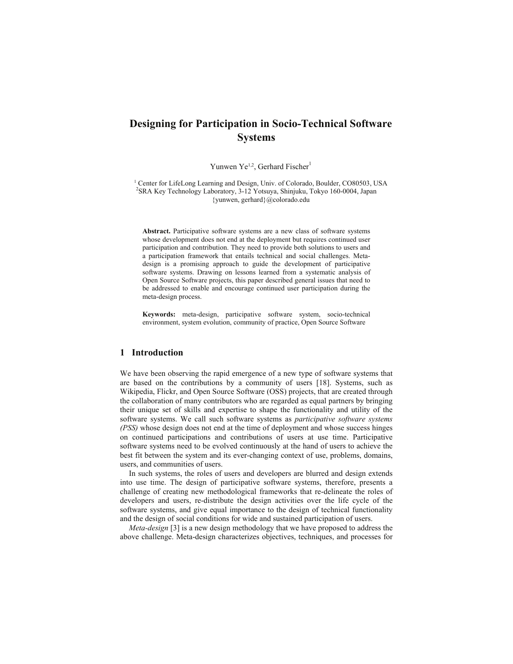# **Designing for Participation in Socio-Technical Software Systems**

Yunwen Ye<sup>1,2</sup>, Gerhard Fischer<sup>1</sup>

<sup>1</sup> Center for LifeLong Learning and Design, Univ. of Colorado, Boulder, CO80503, USA 2 SRA Key Technology Laboratory, 3-12 Yotsuya, Shinjuku, Tokyo 160-0004, Japan {yunwen, gerhard}@colorado.edu

**Abstract.** Participative software systems are a new class of software systems whose development does not end at the deployment but requires continued user participation and contribution. They need to provide both solutions to users and a participation framework that entails technical and social challenges. Metadesign is a promising approach to guide the development of participative software systems. Drawing on lessons learned from a systematic analysis of Open Source Software projects, this paper described general issues that need to be addressed to enable and encourage continued user participation during the meta-design process.

**Keywords:** meta-design, participative software system, socio-technical environment, system evolution, community of practice, Open Source Software

## **1 Introduction**

We have been observing the rapid emergence of a new type of software systems that are based on the contributions by a community of users [18]. Systems, such as Wikipedia, Flickr, and Open Source Software (OSS) projects, that are created through the collaboration of many contributors who are regarded as equal partners by bringing their unique set of skills and expertise to shape the functionality and utility of the software systems. We call such software systems as *participative software systems (PSS)* whose design does not end at the time of deployment and whose success hinges on continued participations and contributions of users at use time. Participative software systems need to be evolved continuously at the hand of users to achieve the best fit between the system and its ever-changing context of use, problems, domains, users, and communities of users.

In such systems, the roles of users and developers are blurred and design extends into use time. The design of participative software systems, therefore, presents a challenge of creating new methodological frameworks that re-delineate the roles of developers and users, re-distribute the design activities over the life cycle of the software systems, and give equal importance to the design of technical functionality and the design of social conditions for wide and sustained participation of users.

*Meta-design* [3] is a new design methodology that we have proposed to address the above challenge. Meta-design characterizes objectives, techniques, and processes for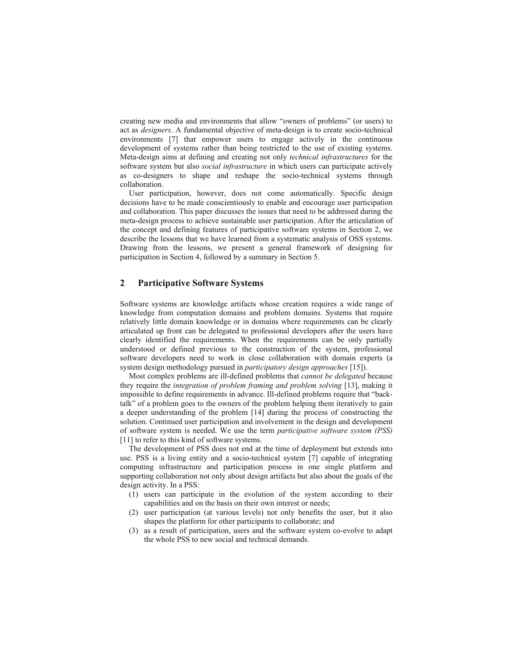creating new media and environments that allow "owners of problems" (or users) to act as *designers*. A fundamental objective of meta-design is to create socio-technical environments [7] that empower users to engage actively in the continuous development of systems rather than being restricted to the use of existing systems. Meta-design aims at defining and creating not only *technical infrastructures* for the software system but also *social infrastructure* in which users can participate actively as co-designers to shape and reshape the socio-technical systems through collaboration.

User participation, however, does not come automatically. Specific design decisions have to be made conscientiously to enable and encourage user participation and collaboration. This paper discusses the issues that need to be addressed during the meta-design process to achieve sustainable user participation. After the articulation of the concept and defining features of participative software systems in Section 2, we describe the lessons that we have learned from a systematic analysis of OSS systems. Drawing from the lessons, we present a general framework of designing for participation in Section 4, followed by a summary in Section 5.

# **2 Participative Software Systems**

Software systems are knowledge artifacts whose creation requires a wide range of knowledge from computation domains and problem domains. Systems that require relatively little domain knowledge or in domains where requirements can be clearly articulated up front can be delegated to professional developers after the users have clearly identified the requirements. When the requirements can be only partially understood or defined previous to the construction of the system, professional software developers need to work in close collaboration with domain experts (a system design methodology pursued in *participatory design approaches* [15]).

Most complex problems are ill-defined problems that *cannot be delegated* because they require the *integration of problem framing and problem solving* [13], making it impossible to define requirements in advance. Ill-defined problems require that "backtalk" of a problem goes to the owners of the problem helping them iteratively to gain a deeper understanding of the problem [14] during the process of constructing the solution. Continued user participation and involvement in the design and development of software system is needed. We use the term *participative software system (PSS)* [11] to refer to this kind of software systems.

The development of PSS does not end at the time of deployment but extends into use. PSS is a living entity and a socio-technical system [7] capable of integrating computing infrastructure and participation process in one single platform and supporting collaboration not only about design artifacts but also about the goals of the design activity. In a PSS:

- (1) users can participate in the evolution of the system according to their capabilities and on the basis on their own interest or needs;
- (2) user participation (at various levels) not only benefits the user, but it also shapes the platform for other participants to collaborate; and
- (3) as a result of participation, users and the software system co-evolve to adapt the whole PSS to new social and technical demands.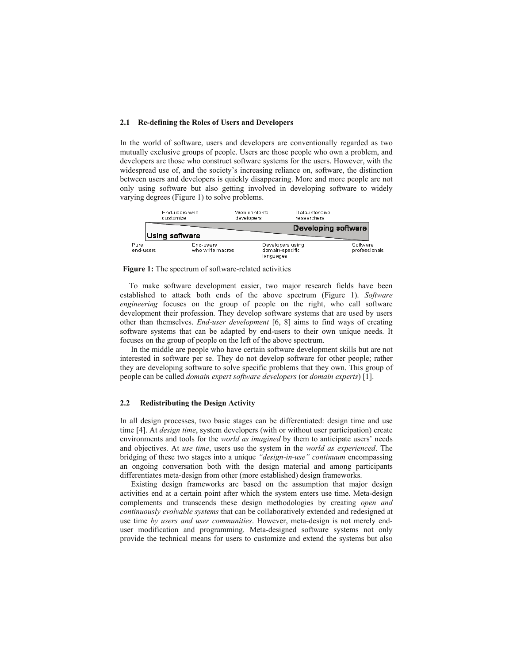#### **2.1 Re-defining the Roles of Users and Developers**

In the world of software, users and developers are conventionally regarded as two mutually exclusive groups of people. Users are those people who own a problem, and developers are those who construct software systems for the users. However, with the widespread use of, and the society's increasing reliance on, software, the distinction between users and developers is quickly disappearing. More and more people are not only using software but also getting involved in developing software to widely varying degrees (Figure 1) to solve problems.

|                                                    | Web contents<br>End-users who<br>customize<br>developers |  | Data-intensive<br>researchers                                                 |  |
|----------------------------------------------------|----------------------------------------------------------|--|-------------------------------------------------------------------------------|--|
|                                                    | Using software                                           |  | Developing software                                                           |  |
| Pure<br>End-users<br>end-users<br>who write macros |                                                          |  | Software<br>Developers using<br>domain-specific<br>professionals<br>languages |  |

**Figure 1:** The spectrum of software-related activities

To make software development easier, two major research fields have been established to attack both ends of the above spectrum (Figure 1). *Software engineering* focuses on the group of people on the right, who call software development their profession. They develop software systems that are used by users other than themselves. *End-user development* [6, 8] aims to find ways of creating software systems that can be adapted by end-users to their own unique needs. It focuses on the group of people on the left of the above spectrum.

 In the middle are people who have certain software development skills but are not interested in software per se. They do not develop software for other people; rather they are developing software to solve specific problems that they own. This group of people can be called *domain expert software developers* (or *domain experts*) [1].

## **2.2 Redistributing the Design Activity**

In all design processes, two basic stages can be differentiated: design time and use time [4]. At *design time*, system developers (with or without user participation) create environments and tools for the *world as imagined* by them to anticipate users' needs and objectives. At *use time*, users use the system in the *world as experienced*. The bridging of these two stages into a unique *"design-in-use" continuum* encompassing an ongoing conversation both with the design material and among participants differentiates meta-design from other (more established) design frameworks.

 Existing design frameworks are based on the assumption that major design activities end at a certain point after which the system enters use time. Meta-design complements and transcends these design methodologies by creating *open and continuously evolvable systems* that can be collaboratively extended and redesigned at use time *by users and user communities*. However, meta-design is not merely enduser modification and programming. Meta-designed software systems not only provide the technical means for users to customize and extend the systems but also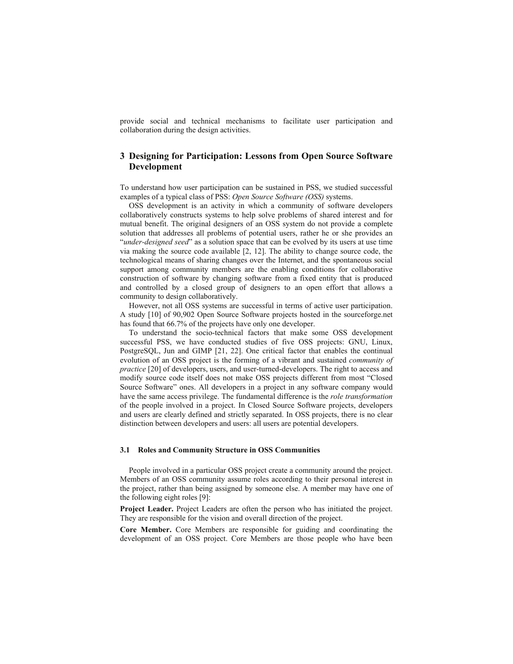provide social and technical mechanisms to facilitate user participation and collaboration during the design activities.

# **3 Designing for Participation: Lessons from Open Source Software Development**

To understand how user participation can be sustained in PSS, we studied successful examples of a typical class of PSS: *Open Source Software (OSS)* systems.

OSS development is an activity in which a community of software developers collaboratively constructs systems to help solve problems of shared interest and for mutual benefit. The original designers of an OSS system do not provide a complete solution that addresses all problems of potential users, rather he or she provides an "*under-designed seed*" as a solution space that can be evolved by its users at use time via making the source code available [2, 12]. The ability to change source code, the technological means of sharing changes over the Internet, and the spontaneous social support among community members are the enabling conditions for collaborative construction of software by changing software from a fixed entity that is produced and controlled by a closed group of designers to an open effort that allows a community to design collaboratively.

However, not all OSS systems are successful in terms of active user participation. A study [10] of 90,902 Open Source Software projects hosted in the sourceforge.net has found that 66.7% of the projects have only one developer.

To understand the socio-technical factors that make some OSS development successful PSS, we have conducted studies of five OSS projects: GNU, Linux, PostgreSQL, Jun and GIMP [21, 22]. One critical factor that enables the continual evolution of an OSS project is the forming of a vibrant and sustained *community of practice* [20] of developers, users, and user-turned-developers. The right to access and modify source code itself does not make OSS projects different from most "Closed Source Software" ones. All developers in a project in any software company would have the same access privilege. The fundamental difference is the *role transformation* of the people involved in a project. In Closed Source Software projects, developers and users are clearly defined and strictly separated. In OSS projects, there is no clear distinction between developers and users: all users are potential developers.

#### **3.1 Roles and Community Structure in OSS Communities**

People involved in a particular OSS project create a community around the project. Members of an OSS community assume roles according to their personal interest in the project, rather than being assigned by someone else. A member may have one of the following eight roles [9]:

**Project Leader.** Project Leaders are often the person who has initiated the project. They are responsible for the vision and overall direction of the project.

**Core Member.** Core Members are responsible for guiding and coordinating the development of an OSS project. Core Members are those people who have been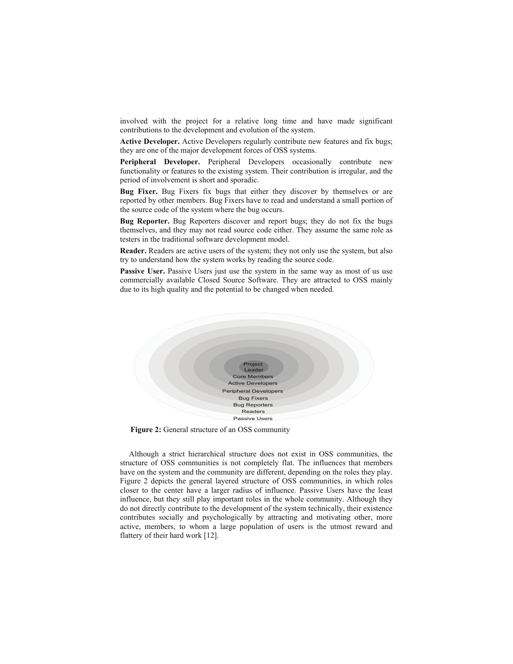involved with the project for a relative long time and have made significant contributions to the development and evolution of the system.

**Active Developer.** Active Developers regularly contribute new features and fix bugs; they are one of the major development forces of OSS systems.

**Peripheral Developer.** Peripheral Developers occasionally contribute new functionality or features to the existing system. Their contribution is irregular, and the period of involvement is short and sporadic.

**Bug Fixer.** Bug Fixers fix bugs that either they discover by themselves or are reported by other members. Bug Fixers have to read and understand a small portion of the source code of the system where the bug occurs.

**Bug Reporter.** Bug Reporters discover and report bugs; they do not fix the bugs themselves, and they may not read source code either. They assume the same role as testers in the traditional software development model.

**Reader.** Readers are active users of the system; they not only use the system, but also try to understand how the system works by reading the source code.

Passive User. Passive Users just use the system in the same way as most of us use commercially available Closed Source Software. They are attracted to OSS mainly due to its high quality and the potential to be changed when needed.



Figure 2: General structure of an OSS community

Although a strict hierarchical structure does not exist in OSS communities, the structure of OSS communities is not completely flat. The influences that members have on the system and the community are different, depending on the roles they play. Figure 2 depicts the general layered structure of OSS communities, in which roles closer to the center have a larger radius of influence. Passive Users have the least influence, but they still play important roles in the whole community. Although they do not directly contribute to the development of the system technically, their existence contributes socially and psychologically by attracting and motivating other, more active, members, to whom a large population of users is the utmost reward and flattery of their hard work [12].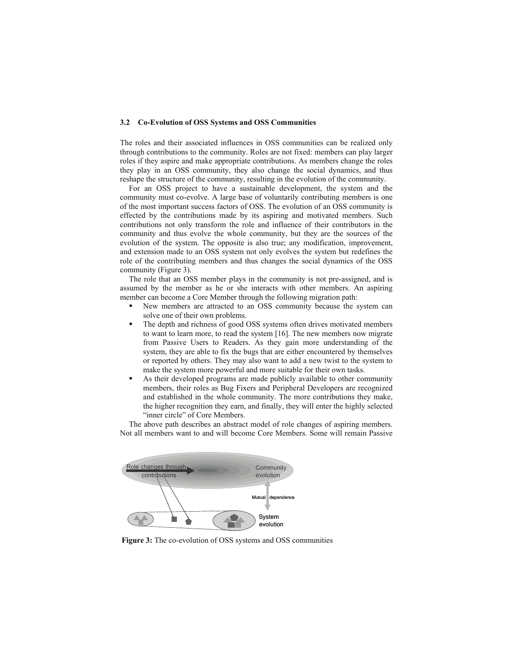#### **3.2 Co-Evolution of OSS Systems and OSS Communities**

The roles and their associated influences in OSS communities can be realized only through contributions to the community. Roles are not fixed: members can play larger roles if they aspire and make appropriate contributions. As members change the roles they play in an OSS community, they also change the social dynamics, and thus reshape the structure of the community, resulting in the evolution of the community.

For an OSS project to have a sustainable development, the system and the community must co-evolve. A large base of voluntarily contributing members is one of the most important success factors of OSS. The evolution of an OSS community is effected by the contributions made by its aspiring and motivated members. Such contributions not only transform the role and influence of their contributors in the community and thus evolve the whole community, but they are the sources of the evolution of the system. The opposite is also true; any modification, improvement, and extension made to an OSS system not only evolves the system but redefines the role of the contributing members and thus changes the social dynamics of the OSS community (Figure 3).

The role that an OSS member plays in the community is not pre-assigned, and is assumed by the member as he or she interacts with other members. An aspiring member can become a Core Member through the following migration path:

- New members are attracted to an OSS community because the system can solve one of their own problems.
- The depth and richness of good OSS systems often drives motivated members to want to learn more, to read the system [16]. The new members now migrate from Passive Users to Readers. As they gain more understanding of the system, they are able to fix the bugs that are either encountered by themselves or reported by others. They may also want to add a new twist to the system to make the system more powerful and more suitable for their own tasks.
- As their developed programs are made publicly available to other community members, their roles as Bug Fixers and Peripheral Developers are recognized and established in the whole community. The more contributions they make, the higher recognition they earn, and finally, they will enter the highly selected "inner circle" of Core Members.

The above path describes an abstract model of role changes of aspiring members. Not all members want to and will become Core Members. Some will remain Passive



**Figure 3:** The co-evolution of OSS systems and OSS communities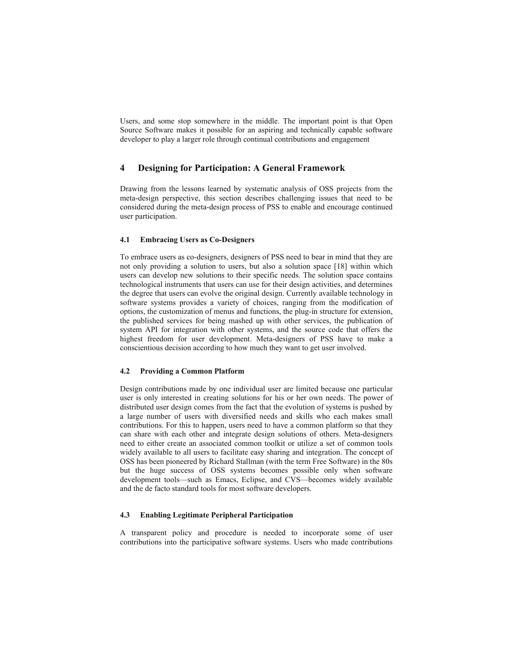Users, and some stop somewhere in the middle. The important point is that Open Source Software makes it possible for an aspiring and technically capable software developer to play a larger role through continual contributions and engagement

# **4 Designing for Participation: A General Framework**

Drawing from the lessons learned by systematic analysis of OSS projects from the meta-design perspective, this section describes challenging issues that need to be considered during the meta-design process of PSS to enable and encourage continued user participation.

#### **4.1 Embracing Users as Co-Designers**

To embrace users as co-designers, designers of PSS need to bear in mind that they are not only providing a solution to users, but also a solution space [18] within which users can develop new solutions to their specific needs. The solution space contains technological instruments that users can use for their design activities, and determines the degree that users can evolve the original design. Currently available technology in software systems provides a variety of choices, ranging from the modification of options, the customization of menus and functions, the plug-in structure for extension, the published services for being mashed up with other services, the publication of system API for integration with other systems, and the source code that offers the highest freedom for user development. Meta-designers of PSS have to make a conscientious decision according to how much they want to get user involved.

#### **4.2 Providing a Common Platform**

Design contributions made by one individual user are limited because one particular user is only interested in creating solutions for his or her own needs. The power of distributed user design comes from the fact that the evolution of systems is pushed by a large number of users with diversified needs and skills who each makes small contributions. For this to happen, users need to have a common platform so that they can share with each other and integrate design solutions of others. Meta-designers need to either create an associated common toolkit or utilize a set of common tools widely available to all users to facilitate easy sharing and integration. The concept of OSS has been pioneered by Richard Stallman (with the term Free Software) in the 80s but the huge success of OSS systems becomes possible only when software development tools—such as Emacs, Eclipse, and CVS—becomes widely available and the de facto standard tools for most software developers.

## **4.3 Enabling Legitimate Peripheral Participation**

A transparent policy and procedure is needed to incorporate some of user contributions into the participative software systems. Users who made contributions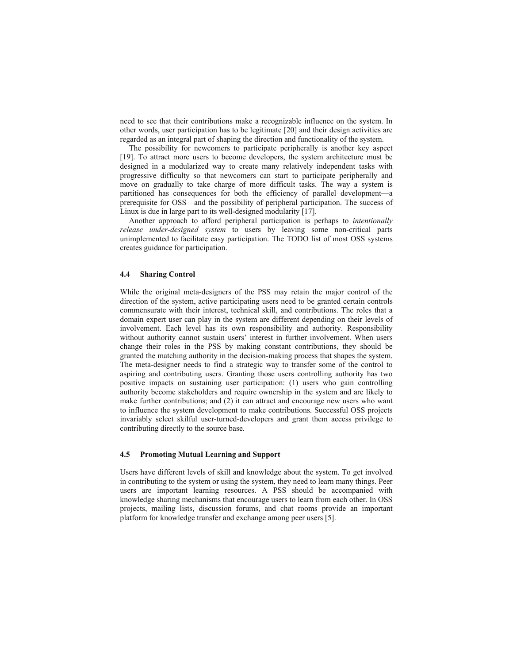need to see that their contributions make a recognizable influence on the system. In other words, user participation has to be legitimate [20] and their design activities are regarded as an integral part of shaping the direction and functionality of the system.

The possibility for newcomers to participate peripherally is another key aspect [19]. To attract more users to become developers, the system architecture must be designed in a modularized way to create many relatively independent tasks with progressive difficulty so that newcomers can start to participate peripherally and move on gradually to take charge of more difficult tasks. The way a system is partitioned has consequences for both the efficiency of parallel development—a prerequisite for OSS—and the possibility of peripheral participation. The success of Linux is due in large part to its well-designed modularity [17].

Another approach to afford peripheral participation is perhaps to *intentionally release under-designed system* to users by leaving some non-critical parts unimplemented to facilitate easy participation. The TODO list of most OSS systems creates guidance for participation.

### **4.4 Sharing Control**

While the original meta-designers of the PSS may retain the major control of the direction of the system, active participating users need to be granted certain controls commensurate with their interest, technical skill, and contributions. The roles that a domain expert user can play in the system are different depending on their levels of involvement. Each level has its own responsibility and authority. Responsibility without authority cannot sustain users' interest in further involvement. When users change their roles in the PSS by making constant contributions, they should be granted the matching authority in the decision-making process that shapes the system. The meta-designer needs to find a strategic way to transfer some of the control to aspiring and contributing users. Granting those users controlling authority has two positive impacts on sustaining user participation: (1) users who gain controlling authority become stakeholders and require ownership in the system and are likely to make further contributions; and (2) it can attract and encourage new users who want to influence the system development to make contributions. Successful OSS projects invariably select skilful user-turned-developers and grant them access privilege to contributing directly to the source base.

## **4.5 Promoting Mutual Learning and Support**

Users have different levels of skill and knowledge about the system. To get involved in contributing to the system or using the system, they need to learn many things. Peer users are important learning resources. A PSS should be accompanied with knowledge sharing mechanisms that encourage users to learn from each other. In OSS projects, mailing lists, discussion forums, and chat rooms provide an important platform for knowledge transfer and exchange among peer users [5].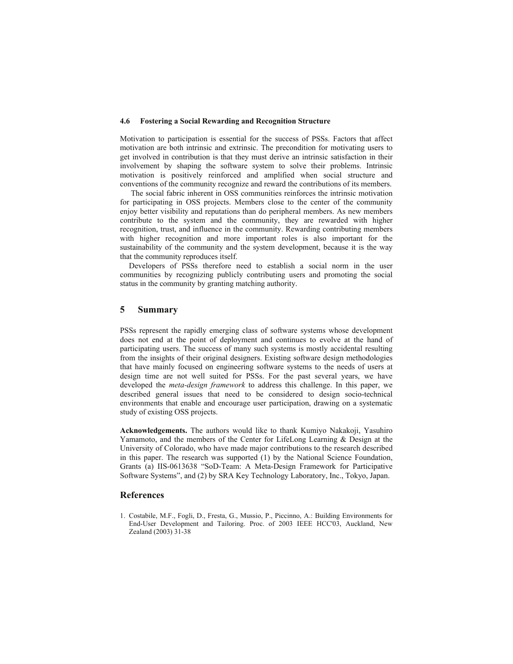#### **4.6 Fostering a Social Rewarding and Recognition Structure**

Motivation to participation is essential for the success of PSSs. Factors that affect motivation are both intrinsic and extrinsic. The precondition for motivating users to get involved in contribution is that they must derive an intrinsic satisfaction in their involvement by shaping the software system to solve their problems. Intrinsic motivation is positively reinforced and amplified when social structure and conventions of the community recognize and reward the contributions of its members.

 The social fabric inherent in OSS communities reinforces the intrinsic motivation for participating in OSS projects. Members close to the center of the community enjoy better visibility and reputations than do peripheral members. As new members contribute to the system and the community, they are rewarded with higher recognition, trust, and influence in the community. Rewarding contributing members with higher recognition and more important roles is also important for the sustainability of the community and the system development, because it is the way that the community reproduces itself.

Developers of PSSs therefore need to establish a social norm in the user communities by recognizing publicly contributing users and promoting the social status in the community by granting matching authority.

# **5 Summary**

PSSs represent the rapidly emerging class of software systems whose development does not end at the point of deployment and continues to evolve at the hand of participating users. The success of many such systems is mostly accidental resulting from the insights of their original designers. Existing software design methodologies that have mainly focused on engineering software systems to the needs of users at design time are not well suited for PSSs. For the past several years, we have developed the *meta-design framework* to address this challenge. In this paper, we described general issues that need to be considered to design socio-technical environments that enable and encourage user participation, drawing on a systematic study of existing OSS projects.

**Acknowledgements.** The authors would like to thank Kumiyo Nakakoji, Yasuhiro Yamamoto, and the members of the Center for LifeLong Learning & Design at the University of Colorado, who have made major contributions to the research described in this paper. The research was supported (1) by the National Science Foundation, Grants (a) IIS-0613638 "SoD-Team: A Meta-Design Framework for Participative Software Systems", and (2) by SRA Key Technology Laboratory, Inc., Tokyo, Japan.

## **References**

1. Costabile, M.F., Fogli, D., Fresta, G., Mussio, P., Piccinno, A.: Building Environments for End-User Development and Tailoring. Proc. of 2003 IEEE HCC'03, Auckland, New Zealand (2003) 31-38